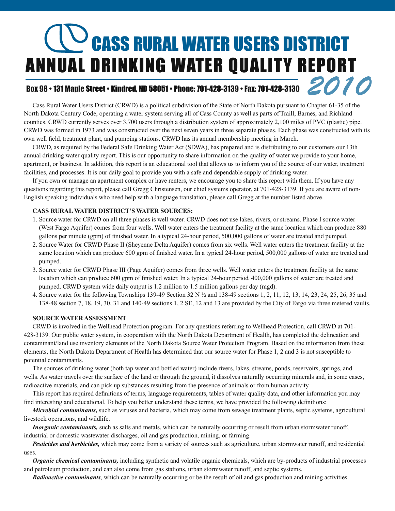# *2010* CASS RURAL WATER USERS DISTRICT ANNUAL DRINKING WATER QUALITY REPORT

# Box 98 • 131 Maple Street • Kindred, ND 58051 • Phone: 701-428-3139 • Fax: 701-428-3130

Cass Rural Water Users District (CRWD) is a political subdivision of the State of North Dakota pursuant to Chapter 61-35 of the North Dakota Century Code, operating a water system serving all of Cass County as well as parts of Traill, Barnes, and Richland counties. CRWD currently serves over 3,700 users through a distribution system of approximately 2,100 miles of PVC (plastic) pipe. CRWD was formed in 1973 and was constructed over the next seven years in three separate phases. Each phase was constructed with its own well field, treatment plant, and pumping stations. CRWD has its annual membership meeting in March.

CRWD, as required by the Federal Safe Drinking Water Act (SDWA), has prepared and is distributing to our customers our 13th annual drinking water quality report. This is our opportunity to share information on the quality of water we provide to your home, apartment, or business. In addition, this report is an educational tool that allows us to inform you of the source of our water, treatment facilities, and processes. It is our daily goal to provide you with a safe and dependable supply of drinking water.

If you own or manage an apartment complex or have renters, we encourage you to share this report with them. If you have any questions regarding this report, please call Gregg Christensen, our chief systems operator, at 701-428-3139. If you are aware of non-English speaking individuals who need help with a language translation, please call Gregg at the number listed above.

#### **CASS RURAL WATER DISTRICT'S WATER SOURCES:**

- 1. Source water for CRWD on all three phases is well water. CRWD does not use lakes, rivers, or streams. Phase I source water (West Fargo Aquifer) comes from four wells. Well water enters the treatment facility at the same location which can produce 880 gallons per minute (gpm) of finished water. In a typical 24-hour period, 500,000 gallons of water are treated and pumped.
- 2. Source Water for CRWD Phase II (Sheyenne Delta Aquifer) comes from six wells. Well water enters the treatment facility at the same location which can produce 600 gpm of finished water. In a typical 24-hour period, 500,000 gallons of water are treated and pumped.
- 3. Source water for CRWD Phase III (Page Aquifer) comes from three wells. Well water enters the treatment facility at the same location which can produce 600 gpm of finished water. In a typical 24-hour period, 400,000 gallons of water are treated and pumped. CRWD system wide daily output is 1.2 million to 1.5 million gallons per day (mgd).
- 4. Source water for the following Townships 139-49 Section 32 N ½ and 138-49 sections 1, 2, 11, 12, 13, 14, 23, 24, 25, 26, 35 and 138-48 section 7, 18, 19, 30, 31 and 140-49 sections 1, 2 SE, 12 and 13 are provided by the City of Fargo via three metered vaults.

#### **SOURCE WATER ASSESSMENT**

CRWD is involved in the Wellhead Protection program. For any questions referring to Wellhead Protection, call CRWD at 701- 428-3139. Our public water system, in cooperation with the North Dakota Department of Health, has completed the delineation and contaminant/land use inventory elements of the North Dakota Source Water Protection Program. Based on the information from these elements, the North Dakota Department of Health has determined that our source water for Phase 1, 2 and 3 is not susceptible to potential contaminants.

The sources of drinking water (both tap water and bottled water) include rivers, lakes, streams, ponds, reservoirs, springs, and wells. As water travels over the surface of the land or through the ground, it dissolves naturally occurring minerals and, in some cases, radioactive materials, and can pick up substances resulting from the presence of animals or from human activity.

This report has required definitions of terms, language requirements, tables of water quality data, and other information you may find interesting and educational. To help you better understand these terms, we have provided the following definitions:

*Microbial contaminants*, such as viruses and bacteria, which may come from sewage treatment plants, septic systems, agricultural livestock operations, and wildlife.

*Inorganic contaminants*, such as salts and metals, which can be naturally occurring or result from urban stormwater runoff,

industrial or domestic wastewater discharges, oil and gas production, mining, or farming.

*Pesticides and herbicides,* which may come from a variety of sources such as agriculture, urban stormwater runoff, and residential uses.

*Organic chemical contaminants,* including synthetic and volatile organic chemicals, which are by-products of industrial processes and petroleum production, and can also come from gas stations, urban stormwater runoff, and septic systems.

*Radioactive contaminants*, which can be naturally occurring or be the result of oil and gas production and mining activities.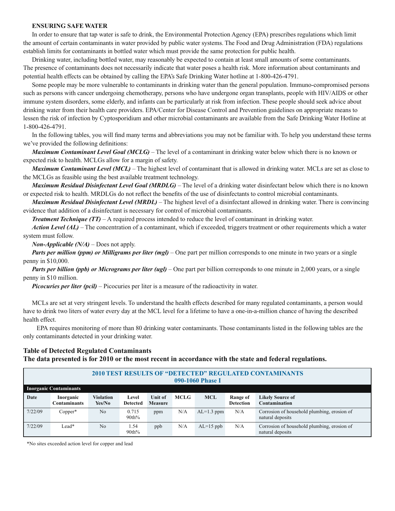#### **ENSURING SAFE WATER**

In order to ensure that tap water is safe to drink, the Environmental Protection Agency (EPA) prescribes regulations which limit the amount of certain contaminants in water provided by public water systems. The Food and Drug Administration (FDA) regulations establish limits for contaminants in bottled water which must provide the same protection for public health.

Drinking water, including bottled water, may reasonably be expected to contain at least small amounts of some contaminants. The presence of contaminants does not necessarily indicate that water poses a health risk. More information about contaminants and potential health effects can be obtained by calling the EPA's Safe Drinking Water hotline at 1-800-426-4791.

Some people may be more vulnerable to contaminants in drinking water than the general population. Immuno-compromised persons such as persons with cancer undergoing chemotherapy, persons who have undergone organ transplants, people with HIV/AIDS or other immune system disorders, some elderly, and infants can be particularly at risk from infection. These people should seek advice about drinking water from their health care providers. EPA/Center for Disease Control and Prevention guidelines on appropriate means to lessen the risk of infection by Cyptosporidium and other microbial contaminants are available from the Safe Drinking Water Hotline at 1-800-426-4791.

In the following tables, you will find many terms and abbreviations you may not be familiar with. To help you understand these terms we've provided the following definitions:

*Maximum Contaminant Level Goal (MCLG)* – The level of a contaminant in drinking water below which there is no known or expected risk to health. MCLGs allow for a margin of safety.

*Maximum Contaminant Level (MCL)* – The highest level of contaminant that is allowed in drinking water. MCLs are set as close to the MCLGs as feasible using the best available treatment technology.

*Maximum Residual Disinfectant Level Goal (MRDLG)* – The level of a drinking water disinfectant below which there is no known or expected risk to health. MRDLGs do not reflect the benefits of the use of disinfectants to control microbial contaminants.

*Maximum Residual Disinfectant Level (MRDL)* – The highest level of a disinfectant allowed in drinking water. There is convincing evidence that addition of a disinfectant is necessary for control of microbial contaminants.

*Treatment Technique (TT)* – A required process intended to reduce the level of contaminant in drinking water.

*Action Level (AL)* – The concentration of a contaminant, which if exceeded, triggers treatment or other requirements which a water system must follow.

*Non-Applicable (N/A)* – Does not apply.

*Parts per million (ppm) or Milligrams per liter (mgl)* – One part per million corresponds to one minute in two years or a single penny in \$10,000.

*Parts per billion (ppb) or Micrograms per liter (ugl)* – One part per billion corresponds to one minute in 2,000 years, or a single penny in \$10 million.

*Picocuries per liter (pcil)* – Picocuries per liter is a measure of the radioactivity in water.

MCLs are set at very stringent levels. To understand the health effects described for many regulated contaminants, a person would have to drink two liters of water every day at the MCL level for a lifetime to have a one-in-a-million chance of having the described health effect.

 EPA requires monitoring of more than 80 drinking water contaminants. Those contaminants listed in the following tables are the only contaminants detected in your drinking water.

#### **Table of Detected Regulated Contaminants The data presented is for 2010 or the most recent in accordance with the state and federal regulations.**

|         | 2010 TEST RESULTS OF "DETECTED" REGULATED CONTAMINANTS<br>090-1060 Phase I                                                                                                                                                       |    |               |     |     |             |     |                                                                 |  |  |  |  |
|---------|----------------------------------------------------------------------------------------------------------------------------------------------------------------------------------------------------------------------------------|----|---------------|-----|-----|-------------|-----|-----------------------------------------------------------------|--|--|--|--|
|         | Inorganic Contaminants                                                                                                                                                                                                           |    |               |     |     |             |     |                                                                 |  |  |  |  |
| Date    | <b>MCLG</b><br><b>MCL</b><br><b>Violation</b><br>Unit of<br><b>Likely Source of</b><br>Inorganic<br>Level<br>Range of<br>Contamination<br>Yes/No<br><b>Contaminants</b><br><b>Detection</b><br><b>Measure</b><br><b>Detected</b> |    |               |     |     |             |     |                                                                 |  |  |  |  |
| 7/22/09 | Corrosion of household plumbing, erosion of<br>N/A<br>0.715<br>N/A<br>$AL=1.3$ ppm<br>$Copper*$<br>N <sub>0</sub><br>ppm<br>90th%<br>natural deposits                                                                            |    |               |     |     |             |     |                                                                 |  |  |  |  |
| 7/22/09 | Lead*                                                                                                                                                                                                                            | No | 1.54<br>90th% | ppb | N/A | $AL=15$ ppb | N/A | Corrosion of household plumbing, erosion of<br>natural deposits |  |  |  |  |

\*No sites exceeded action level for copper and lead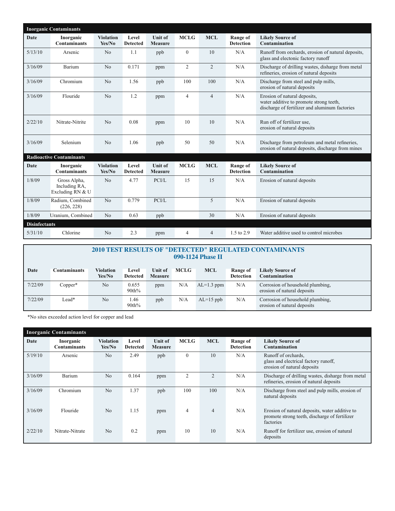|                      | <b>Inorganic Contaminants</b>                     |                            |                                 |                                  |                |                |                              |                                                                                                                           |
|----------------------|---------------------------------------------------|----------------------------|---------------------------------|----------------------------------|----------------|----------------|------------------------------|---------------------------------------------------------------------------------------------------------------------------|
| Date                 | Inorganic<br><b>Contaminants</b>                  | <b>Violation</b><br>Yes/No | <b>Level</b><br><b>Detected</b> | <b>Unit of</b><br><b>Measure</b> | <b>MCLG</b>    | <b>MCL</b>     | Range of<br><b>Detection</b> | <b>Likely Source of</b><br>Contamination                                                                                  |
| 5/13/10              | Arsenic                                           | N <sub>0</sub>             | 1.1                             | ppb                              | $\mathbf{0}$   | 10             | N/A                          | Runoff from orchards, erosion of natural deposits,<br>glass and electonic factory runoff                                  |
| 3/16/09              | Barium                                            | N <sub>0</sub>             | 0.171                           | ppm                              | 2              | $\overline{2}$ | N/A                          | Discharge of drilling wastes, disharge from metal<br>refineries, erosion of natural deposits                              |
| 3/16/09              | Chromium                                          | N <sub>0</sub>             | 1.56                            | ppb                              | 100            | 100            | N/A                          | Discharge from steel and pulp mills,<br>erosion of natural deposits                                                       |
| 3/16/09              | Flouride                                          | N <sub>0</sub>             | 1.2                             | ppm                              | $\overline{4}$ | $\overline{4}$ | N/A                          | Erosion of natural deposits,<br>water additive to promote strong teeth,<br>discharge of fertilizer and aluminum factories |
| 2/22/10              | Nitrate-Nitrite                                   | N <sub>0</sub>             | 0.08                            | ppm                              | 10             | 10             | N/A                          | Run off of fertilizer use,<br>erosion of natural deposits                                                                 |
| 3/16/09              | Selenium                                          | N <sub>0</sub>             | 1.06                            | ppb                              | 50             | 50             | N/A                          | Discharge from petroleum and metal refineries,<br>erosion of natural deposits, discharge from mines                       |
|                      | <b>Radioactive Contaminants</b>                   |                            |                                 |                                  |                |                |                              |                                                                                                                           |
| Date                 | Inorganic<br><b>Contaminants</b>                  | <b>Violation</b><br>Yes/No | <b>Level</b><br><b>Detected</b> | <b>Unit of</b><br><b>Measure</b> | <b>MCLG</b>    | <b>MCL</b>     | Range of<br><b>Detection</b> | <b>Likely Source of</b><br>Contamination                                                                                  |
| 1/8/09               | Gross Alpha,<br>Including RA,<br>Excluding RN & U | N <sub>0</sub>             | 4.77                            | PCI/L                            | 15             | 15             | N/A                          | Erosion of natural deposits                                                                                               |
| 1/8/09               | Radium, Combined<br>(226, 228)                    | N <sub>0</sub>             | 0.779                           | PCI/L                            |                | 5              | N/A                          | Erosion of natural deposits                                                                                               |
| 1/8/09               | Uranium, Combined                                 | N <sub>0</sub>             | 0.63                            | ppb                              |                | 30             | N/A                          | Erosion of natural deposits                                                                                               |
| <b>Disinfectants</b> |                                                   |                            |                                 |                                  |                |                |                              |                                                                                                                           |
| 5/31/10              | Chlorine                                          | N <sub>0</sub>             | 2.3                             | ppm                              | 4              | $\overline{4}$ | 1.5 to 2.9                   | Water additive used to control microbes                                                                                   |

|                                                                                                                                                            | <b>2010 TEST RESULTS OF "DETECTED" REGULATED CONTAMINANTS</b><br>090-1124 Phase II                                                                                                                    |                |     |                                                                 |  |  |  |  |  |  |  |  |  |
|------------------------------------------------------------------------------------------------------------------------------------------------------------|-------------------------------------------------------------------------------------------------------------------------------------------------------------------------------------------------------|----------------|-----|-----------------------------------------------------------------|--|--|--|--|--|--|--|--|--|
| Date                                                                                                                                                       | <b>MCLG</b><br><b>MCL</b><br>Contaminants<br>Violation<br><b>Likely Source of</b><br>Unit of<br>Range of<br>Level<br>Contamination<br>Yes/No<br><b>Detection</b><br><b>Detected</b><br><b>Measure</b> |                |     |                                                                 |  |  |  |  |  |  |  |  |  |
| 7/22/09                                                                                                                                                    | $Copper*$                                                                                                                                                                                             | N <sub>0</sub> | N/A | Corrosion of household plumbing,<br>erosion of natural deposits |  |  |  |  |  |  |  |  |  |
| 7/22/09<br>N/A<br>N <sub>0</sub><br>N/A<br>Corrosion of household plumbing,<br>Lead*<br>1.46<br>$AL=15$ ppb<br>ppb<br>erosion of natural deposits<br>90th% |                                                                                                                                                                                                       |                |     |                                                                 |  |  |  |  |  |  |  |  |  |

\*No sites exceeded action level for copper and lead

|         | <b>Inorganic Contaminants</b>    |                            |                          |                           |                |                |                              |                                                                                                              |
|---------|----------------------------------|----------------------------|--------------------------|---------------------------|----------------|----------------|------------------------------|--------------------------------------------------------------------------------------------------------------|
| Date    | Inorganic<br><b>Contaminants</b> | <b>Violation</b><br>Yes/No | Level<br><b>Detected</b> | Unit of<br><b>Measure</b> | <b>MCLG</b>    | <b>MCL</b>     | Range of<br><b>Detection</b> | <b>Likely Source of</b><br>Contamination                                                                     |
| 5/19/10 | Arsenic                          | No                         | 2.49                     | ppb                       | $\mathbf{0}$   | 10             | N/A                          | Runoff of orchards,<br>glass and electrical factory runoff,<br>erosion of natural deposits                   |
| 3/16/09 | Barium                           | No                         | 0.164                    | ppm                       | $\overline{c}$ | 2              | N/A                          | Discharge of drilling wastes, disharge from metal<br>refineries, erosion of natural deposits                 |
| 3/16/09 | Chromium                         | No                         | 1.37                     | ppb                       | 100            | 100            | N/A                          | Discharge from steel and pulp mills, erosion of<br>natural deposits                                          |
| 3/16/09 | Flouride                         | No                         | 1.15                     | ppm                       | $\overline{4}$ | $\overline{4}$ | N/A                          | Erosion of natural deposits, water additive to<br>promote strong teeth, discharge of fertilizer<br>factories |
| 2/22/10 | Nitrate-Nitrate                  | N <sub>o</sub>             | 0.2                      | ppm                       | 10             | 10             | N/A                          | Runoff for fertilizer use, erosion of natural<br>deposits                                                    |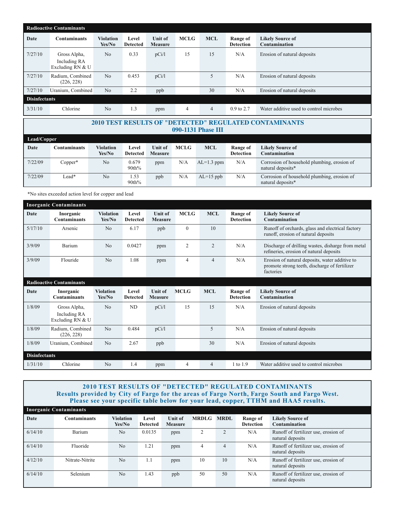|                      | <b>Radioactive Contaminants</b>                  |                            |                          |                           |                |                |                              |                                                 |  |  |  |  |  |
|----------------------|--------------------------------------------------|----------------------------|--------------------------|---------------------------|----------------|----------------|------------------------------|-------------------------------------------------|--|--|--|--|--|
| Date                 | <b>Contaminants</b>                              | <b>Violation</b><br>Yes/No | Level<br><b>Detected</b> | Unit of<br><b>Measure</b> | <b>MCLG</b>    | <b>MCL</b>     | Range of<br><b>Detection</b> | <b>Likely Source of</b><br><b>Contamination</b> |  |  |  |  |  |
| 7/27/10              | Gross Alpha,<br>Including RA<br>Excluding RN & U | N <sub>0</sub>             | 0.33                     | pCi/l                     | 15             | 15             | N/A                          | Erosion of natural deposits                     |  |  |  |  |  |
| 7/27/10              | Radium, Combined<br>(226, 228)                   | N <sub>0</sub>             | 0.453                    | pCi/1                     |                | 5              | N/A                          | Erosion of natural deposits                     |  |  |  |  |  |
| 7/27/10              | Uranium, Combined                                | N <sub>0</sub>             | 2.2                      | ppb                       |                | 30             | N/A                          | Erosion of natural deposits                     |  |  |  |  |  |
| <b>Disinfectants</b> |                                                  |                            |                          |                           |                |                |                              |                                                 |  |  |  |  |  |
| 3/31/10              | Chlorine                                         | N <sub>0</sub>             | 1.3                      | ppm                       | $\overline{4}$ | $\overline{4}$ | $0.9 \text{ to } 2.7$        | Water additive used to control microbes         |  |  |  |  |  |

| <b>2010 TEST RESULTS OF "DETECTED" REGULATED CONTAMINANTS</b> |  |
|---------------------------------------------------------------|--|
| 090-1131 Phase III                                            |  |

| Lead/Copper |              |                            |                          |                           |             |              |                              |                                                                  |  |  |  |
|-------------|--------------|----------------------------|--------------------------|---------------------------|-------------|--------------|------------------------------|------------------------------------------------------------------|--|--|--|
| Date        | Contaminants | <b>Violation</b><br>Yes/No | Level<br><b>Detected</b> | Unit of<br><b>Measure</b> | <b>MCLG</b> | <b>MCL</b>   | Range of<br><b>Detection</b> | <b>Likely Source of</b><br>Contamination                         |  |  |  |
| 7/22/09     | Copper*      | N <sub>o</sub>             | 0.679<br>90th%           | ppm                       | N/A         | $AL=1.3$ ppm | N/A                          | Corrosion of household plumbing, erosion of<br>natural deposits* |  |  |  |
| 7/22/09     | Lead*        | N <sub>0</sub>             | 1.53<br>90th%            | ppb                       | N/A         | $AL=15$ ppb  | N/A                          | Corrosion of household plumbing, erosion of<br>natural deposits* |  |  |  |

\*No sites exceeded action level for copper and lead

|                      | <b>Inorganic Contaminants</b>                    |                            |                          |                                  |                |                |                              |                                                                                                              |
|----------------------|--------------------------------------------------|----------------------------|--------------------------|----------------------------------|----------------|----------------|------------------------------|--------------------------------------------------------------------------------------------------------------|
| Date                 | Inorganic<br><b>Contaminants</b>                 | <b>Violation</b><br>Yes/No | Level<br><b>Detected</b> | <b>Unit of</b><br><b>Measure</b> | <b>MCLG</b>    | <b>MCL</b>     | Range of<br><b>Detection</b> | <b>Likely Source of</b><br>Contamination                                                                     |
| 5/17/10              | Arsenic                                          | N <sub>0</sub>             | 6.17                     | ppb                              | $\mathbf{0}$   | 10             |                              | Runoff of orchards, glass and electrical factory<br>runoff, erosion of natural deposits                      |
| 3/9/09               | Barium                                           | N <sub>o</sub>             | 0.0427                   | ppm                              | $\overline{2}$ | 2              | N/A                          | Discharge of drilling wastes, disharge from metal<br>refineries, erosion of natural deposits                 |
| 3/9/09               | Flouride                                         | N <sub>0</sub>             | 1.08                     | ppm                              | $\overline{4}$ | $\overline{4}$ | N/A                          | Erosion of natural deposits, water additive to<br>promote strong teeth, discharge of fertilizer<br>factories |
|                      | <b>Radioactive Contaminants</b>                  |                            |                          |                                  |                |                |                              |                                                                                                              |
|                      |                                                  |                            |                          |                                  |                |                |                              |                                                                                                              |
| Date                 | Inorganic<br><b>Contaminants</b>                 | <b>Violation</b><br>Yes/No | Level<br><b>Detected</b> | <b>Unit of</b><br><b>Measure</b> | <b>MCLG</b>    | <b>MCL</b>     | Range of<br><b>Detection</b> | <b>Likely Source of</b><br>Contamination                                                                     |
| 1/8/09               | Gross Alpha,<br>Including RA<br>Excluding RN & U | N <sub>0</sub>             | ND                       | pCi/1                            | 15             | 15             | N/A                          | Erosion of natural deposits                                                                                  |
| 1/8/09               | Radium, Combined<br>(226, 228)                   | N <sub>0</sub>             | 0.484                    | pCi/1                            |                | 5              | N/A                          | Erosion of natural deposits                                                                                  |
| 1/8/09               | Uranium, Combined                                | N <sub>0</sub>             | 2.67                     | ppb                              |                | 30             | N/A                          | Erosion of natural deposits                                                                                  |
| <b>Disinfectants</b> |                                                  |                            |                          |                                  |                |                |                              |                                                                                                              |

#### **2010 TEST RESULTS OF "DETECTED" REGULATED CONTAMINANTS Results provided by City of Fargo for the areas of Fargo North, Fargo South and Fargo West. Please see your specific table below for your lead, copper, TTHM and HAA5 results.**

|         | <b>Inorganic Contaminants</b> |                            |                          |                           |              |                |                              |                                                          |  |  |  |  |  |
|---------|-------------------------------|----------------------------|--------------------------|---------------------------|--------------|----------------|------------------------------|----------------------------------------------------------|--|--|--|--|--|
| Date    | Contaminants                  | <b>Violation</b><br>Yes/No | Level<br><b>Detected</b> | Unit of<br><b>Measure</b> | <b>MRDLG</b> | <b>MRDL</b>    | Range of<br><b>Detection</b> | <b>Likely Source of</b><br>Contamination                 |  |  |  |  |  |
| 6/14/10 | Barium                        | N <sub>o</sub>             | 0.0135                   | ppm                       | 2            | $\overline{2}$ | N/A                          | Runoff of fertilizer use, erosion of<br>natural deposits |  |  |  |  |  |
| 6/14/10 | Fluoride                      | N <sub>o</sub>             | 1.21                     | ppm                       | 4            | $\overline{4}$ | N/A                          | Runoff of fertilizer use, erosion of<br>natural deposits |  |  |  |  |  |
| 4/12/10 | Nitrate-Nitrite               | N <sub>o</sub>             | 1.1                      | ppm                       | 10           | 10             | N/A                          | Runoff of fertilizer use, erosion of<br>natural deposits |  |  |  |  |  |
| 6/14/10 | Selenium                      | N <sub>o</sub>             | 1.43                     | ppb                       | 50           | 50             | N/A                          | Runoff of fertilizer use, erosion of<br>natural deposits |  |  |  |  |  |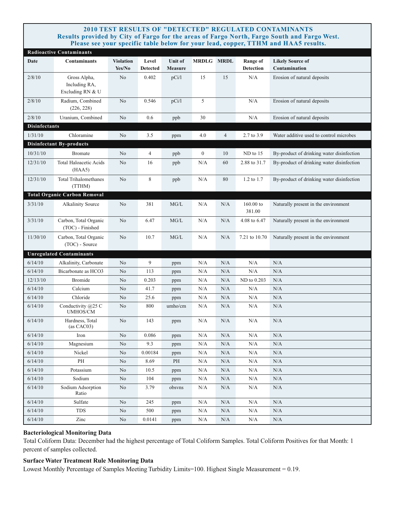#### **2010 TEST RESULTS OF "DETECTED" REGULATED CONTAMINANTS Results provided by City of Fargo for the areas of Fargo North, Fargo South and Fargo West. Please see your specific table below for your lead, copper, TTHM and HAA5 results.**

|                      | <b>Radioactive Contaminants</b>                   |                            |                          |                           |                   |                |                              |                                           |
|----------------------|---------------------------------------------------|----------------------------|--------------------------|---------------------------|-------------------|----------------|------------------------------|-------------------------------------------|
| Date                 | <b>Contaminants</b>                               | <b>Violation</b><br>Yes/No | Level<br><b>Detected</b> | Unit of<br><b>Measure</b> | <b>MRDLG MRDL</b> |                | Range of<br><b>Detection</b> | <b>Likely Source of</b><br>Contamination  |
| 2/8/10               | Gross Alpha,<br>Including RA,<br>Excluding RN & U | No                         | 0.402                    | pCi/l                     | 15                | 15             | N/A                          | Erosion of natural deposits               |
| 2/8/10               | Radium, Combined<br>(226, 228)                    | No                         | 0.546                    | pCi/l                     | 5                 |                | $\rm N/A$                    | Erosion of natural deposits               |
| 2/8/10               | Uranium, Combined                                 | $\rm No$                   | 0.6                      | ppb                       | 30                |                | N/A                          | Erosion of natural deposits               |
| <b>Disinfectants</b> |                                                   |                            |                          |                           |                   |                |                              |                                           |
| 1/31/10              | Chloramine                                        | No.                        | 3.5                      | ppm                       | 4.0               | $\overline{4}$ | 2.7 to 3.9                   | Water additive used to control microbes   |
|                      | <b>Disinfectant By-products</b>                   |                            |                          |                           |                   |                |                              |                                           |
| 10/31/10             | <b>Bromate</b>                                    | No.                        | $\overline{4}$           | ppb                       | $\boldsymbol{0}$  | 10             | ND to 15                     | By-product of drinking water disinfection |
| 12/31/10             | <b>Total Haloacetic Acids</b><br>(HAA5)           | No                         | 16                       | ppb                       | N/A               | 60             | 2.88 to 31.7                 | By-product of drinking water disinfection |
| 12/31/10             | <b>Total Trihalomethanes</b><br>(TTHM)            | No                         | 8                        | ppb                       | N/A               | 80             | 1.2 to 1.7                   | By-product of drinking water disinfection |
|                      | <b>Total Organic Carbon Removal</b>               |                            |                          |                           |                   |                |                              |                                           |
| 3/31/10              | <b>Alkalinity Source</b>                          | No                         | 381                      | MG/L                      | N/A               | N/A            | 160.00 to<br>381.00          | Naturally present in the environment      |
| 3/31/10              | Carbon, Total Organic<br>(TOC) - Finished         | No                         | 6.47                     | MG/L                      | N/A               | N/A            | 4.08 to 6.47                 | Naturally present in the environment      |
| 11/30/10             | Carbon, Total Organic<br>(TOC) - Source           | No                         | 10.7                     | MG/L                      | N/A               | N/A            | 7.21 to 10.70                | Naturally present in the environment      |
|                      | <b>Unregulated Contaminants</b>                   |                            |                          |                           |                   |                |                              |                                           |
| 6/14/10              | Alkalinity, Carbonate                             | No                         | 9                        | ppm                       | N/A               | N/A            | N/A                          | N/A                                       |
| 6/14/10              | Bicarbonate as HCO3                               | No                         | 113                      | ppm                       | N/A               | N/A            | N/A                          | N/A                                       |
| 12/13/10             | <b>Bromide</b>                                    | No                         | 0.203                    | ppm                       | N/A               | N/A            | ND to 0.203                  | N/A                                       |
| 6/14/10              | Calcium                                           | $\rm No$                   | 41.7                     | ppm                       | N/A               | N/A            | N/A                          | N/A                                       |
| 6/14/10              | Chloride                                          | $\rm No$                   | 25.6                     | ppm                       | N/A               | N/A            | N/A                          | N/A                                       |
| 6/14/10              | Conductivity @25 C<br><b>UMHOS/CM</b>             | No                         | 800                      | umho/cm                   | N/A               | N/A            | N/A                          | N/A                                       |
| 6/14/10              | Hardness, Total<br>(as CAC03)                     | No                         | 143                      | ppm                       | N/A               | N/A            | N/A                          | N/A                                       |
| 6/14/10              | Iron                                              | No                         | 0.086                    | ppm                       | N/A               | N/A            | N/A                          | N/A                                       |
| 6/14/10              | Magnesium                                         | No                         | 9.3                      | ppm                       | N/A               | N/A            | N/A                          | N/A                                       |
| 6/14/10              | Nickel                                            | No                         | 0.00184                  | ppm                       | N/A               | N/A            | $\rm N/A$                    | N/A                                       |
| 6/14/10              | PH                                                | $\rm No$                   | 8.69                     | PH                        | N/A               | N/A            | $\rm N/A$                    | N/A                                       |
| 6/14/10              | Potassium                                         | $\rm No$                   | 10.5                     | ppm                       | N/A               | $\rm N/A$      | $\rm N/A$                    | N/A                                       |
| 6/14/10              | Sodium                                            | $\rm No$                   | 104                      | ppm                       | N/A               | N/A            | $\rm N/A$                    | N/A                                       |
| 6/14/10              | Sodium Adsorption<br>Ratio                        | No                         | 3.79                     | obsyns                    | N/A               | N/A            | N/A                          | N/A                                       |
| 6/14/10              | Sulfate                                           | $\rm No$                   | 245                      | ppm                       | N/A               | N/A            | $\rm N/A$                    | N/A                                       |
| 6/14/10              | <b>TDS</b>                                        | $\rm No$                   | 500                      | ppm                       | N/A               | N/A            | $\rm N/A$                    | N/A                                       |
| 6/14/10              | $\mathop{\rm Zinc}\nolimits$                      | $\rm No$                   | 0.0141                   | ppm                       | N/A               | $\rm N/A$      | $\rm N/A$                    | N/A                                       |

#### **Bacteriological Monitoring Data**

Total Coliform Data: December had the highest percentage of Total Coliform Samples. Total Coliform Positives for that Month: 1 percent of samples collected.

#### **Surface Water Treatment Rule Monitoring Data**

Lowest Monthly Percentage of Samples Meeting Turbidity Limits=100. Highest Single Measurement = 0.19.